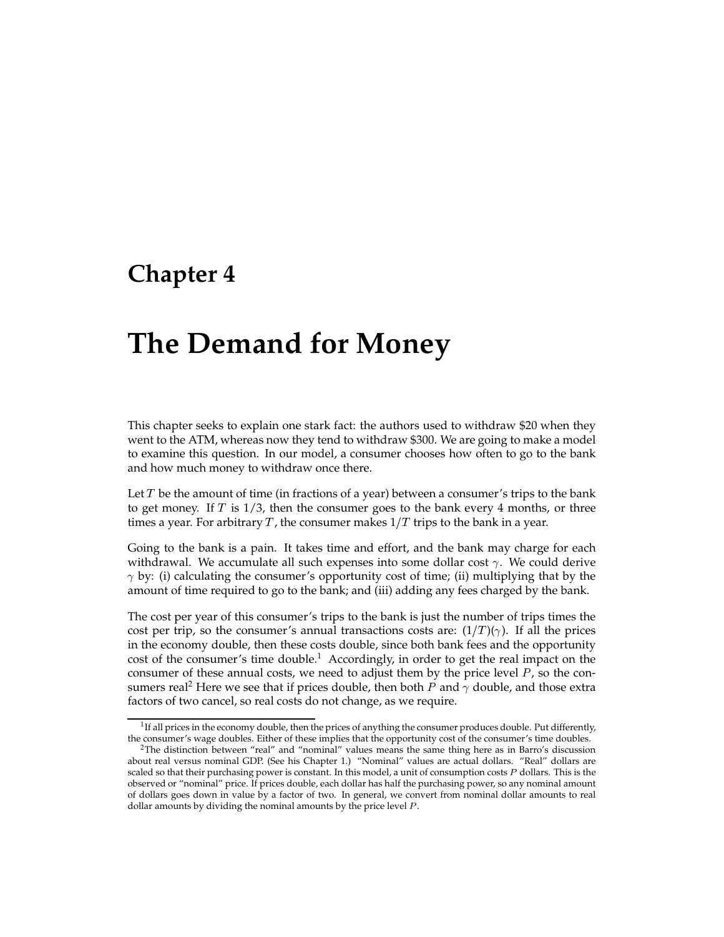## **Chapter 4**

# **The Demand for Money**

This chapter seeks to explain one stark fact: the authors used to withdraw \$20 when they went to the ATM, whereas now they tend to withdraw \$300. We are going to make a model to examine this question. In our model, a consumer chooses how often to go to the bank and how much money to withdraw once there.

Let  $T$  be the amount of time (in fractions of a year) between a consumer's trips to the bank to get money. If  $T$  is  $1/3$ , then the consumer goes to the bank every 4 months, or three times a year. For arbitrary T, the consumer makes  $1/T$  trips to the bank in a year.

Going to the bank is a pain. It takes time and effort, and the bank may charge for each withdrawal. We accumulate all such expenses into some dollar cost  $\gamma$ . We could derive  $\gamma$  by: (i) calculating the consumer's opportunity cost of time; (ii) multiplying that by the amount of time required to go to the bank; and (iii) adding any fees charged by the bank.

The cost per year of this consumer's trips to the bank is just the number of trips times the cost per trip, so the consumer's annual transactions costs are:  $(1/T)(\gamma)$ . If all the prices in the economy double, then these costs double, since both bank fees and the opportunity cost of the consumer's time double.<sup>1</sup> Accordingly, in order to get the real impact on the consumer of these annual costs, we need to adjust them by the price level  $P$ , so the consumers real<sup>2</sup> Here we see that if prices double, then both P and  $\gamma$  double, and those extra factors of two cancel, so real costs do not change, as we require.

 $1$ If all prices in the economy double, then the prices of anything the consumer produces double. Put differently, the consumer's wage doubles. Either of these implies that the opportunity cost of the consumer's time doubles.

 $2$ The distinction between "real" and "nominal" values means the same thing here as in Barro's discussion about real versus nominal GDP. (See his Chapter 1.) "Nominal" values are actual dollars. "Real" dollars are scaled so that their purchasing power is constant. In this model, a unit of consumption costs P dollars. This is the observed or "nominal" price. If prices double, each dollar has half the purchasing power, so any nominal amount of dollars goes down in value by a factor of two. In general, we convert from nominal dollar amounts to real dollar amounts by dividing the nominal amounts by the price level  $P$ .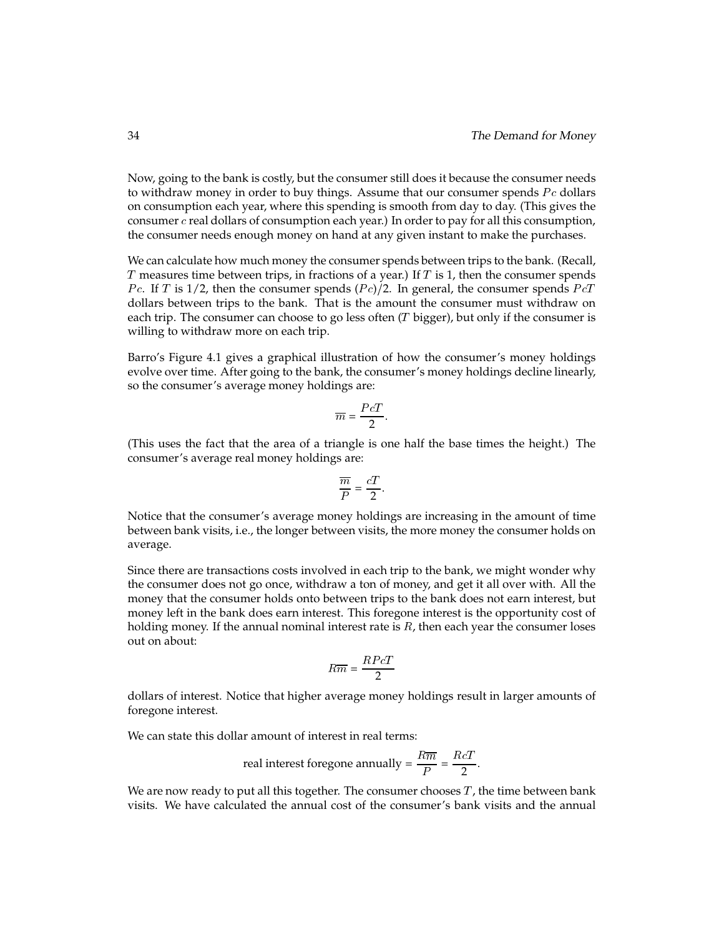Now, going to the bank is costly, but the consumer still does it because the consumer needs to withdraw money in order to buy things. Assume that our consumer spends  $P_c$  dollars on consumption each year, where this spending is smooth from day to day. (This gives the consumer  $c$  real dollars of consumption each year.) In order to pay for all this consumption, the consumer needs enough money on hand at any given instant to make the purchases.

We can calculate how much money the consumer spends between trips to the bank. (Recall, T measures time between trips, in fractions of a year.) If  $T$  is 1, then the consumer spends *Pc.* If T is 1/2, then the consumer spends  $(Pe)/2$ . In general, the consumer spends PcT dollars between trips to the bank. That is the amount the consumer must withdraw on each trip. The consumer can choose to go less often  $(T$  bigger), but only if the consumer is willing to withdraw more on each trip.

Barro's Figure 4.1 gives a graphical illustration of how the consumer's money holdings evolve over time. After going to the bank, the consumer's money holdings decline linearly, so the consumer's average money holdings are:

$$
\overline{m} = \frac{PcT}{2}.
$$

(This uses the fact that the area of a triangle is one half the base times the height.) The consumer's average real money holdings are:

$$
\frac{\overline{m}}{P} = \frac{cT}{2}.
$$

Notice that the consumer's average money holdings are increasing in the amount of time between bank visits, i.e., the longer between visits, the more money the consumer holds on average.

Since there are transactions costs involved in each trip to the bank, we might wonder why the consumer does not go once, withdraw a ton of money, and get it all over with. All the money that the consumer holds onto between trips to the bank does not earn interest, but money left in the bank does earn interest. This foregone interest is the opportunity cost of holding money. If the annual nominal interest rate is  $R$ , then each year the consumer loses out on about:

$$
R\overline{m} = \frac{R P c T}{2}
$$

dollars of interest. Notice that higher average money holdings result in larger amounts of foregone interest.

We can state this dollar amount of interest in real terms:

real interest foregone annually = 
$$
\frac{R\overline{m}}{P}
$$
 =  $\frac{RcT}{2}$ .

We are now ready to put all this together. The consumer chooses  $T$ , the time between bank visits. We have calculated the annual cost of the consumer's bank visits and the annual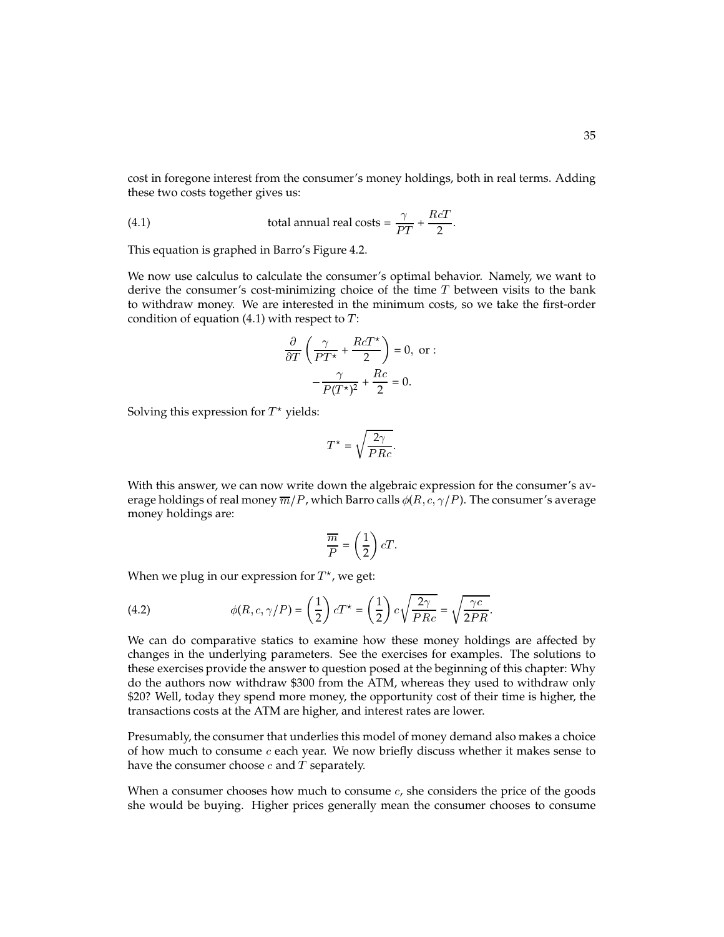cost in foregone interest from the consumer's money holdings, both in real terms. Adding these two costs together gives us:

(4.1) total annual real costs = 
$$
\frac{\gamma}{PT} + \frac{RcT}{2}
$$
.

This equation is graphed in Barro's Figure 4.2.

We now use calculus to calculate the consumer's optimal behavior. Namely, we want to derive the consumer's cost-minimizing choice of the time  $T$  between visits to the bank to withdraw money. We are interested in the minimum costs, so we take the first-order condition of equation (4.1) with respect to  $T$ :

$$
\frac{\partial}{\partial T} \left( \frac{\gamma}{PT^*} + \frac{RCT^*}{2} \right) = 0, \text{ or } : \n- \frac{\gamma}{P(T^*)^2} + \frac{Rc}{2} = 0.
$$

Solving this expression for  $T^{\star}$  yields:

$$
T^* = \sqrt{\frac{2\gamma}{PRc}}.
$$

With this answer, we can now write down the algebraic expression for the consumer's average holdings of real money  $\overline{m}/P$ , which Barro calls  $\phi(R, c, \gamma/P)$ . The consumer's average money holdings are:

$$
\frac{\overline{m}}{P} = \left(\frac{1}{2}\right)cT.
$$

When we plug in our expression for  $T^*$ , we get:

(4.2) 
$$
\phi(R, c, \gamma/P) = \left(\frac{1}{2}\right)cT^* = \left(\frac{1}{2}\right)c\sqrt{\frac{2\gamma}{PRc}} = \sqrt{\frac{\gamma c}{2PR}}.
$$

We can do comparative statics to examine how these money holdings are affected by changes in the underlying parameters. See the exercises for examples. The solutions to these exercises provide the answer to question posed at the beginning of this chapter: Why do the authors now withdraw \$300 from the ATM, whereas they used to withdraw only \$20? Well, today they spend more money, the opportunity cost of their time is higher, the transactions costs at the ATM are higher, and interest rates are lower.

Presumably, the consumer that underlies this model of money demand also makes a choice of how much to consume  $c$  each year. We now briefly discuss whether it makes sense to have the consumer choose  $c$  and  $T$  separately.

When a consumer chooses how much to consume  $c$ , she considers the price of the goods she would be buying. Higher prices generally mean the consumer chooses to consume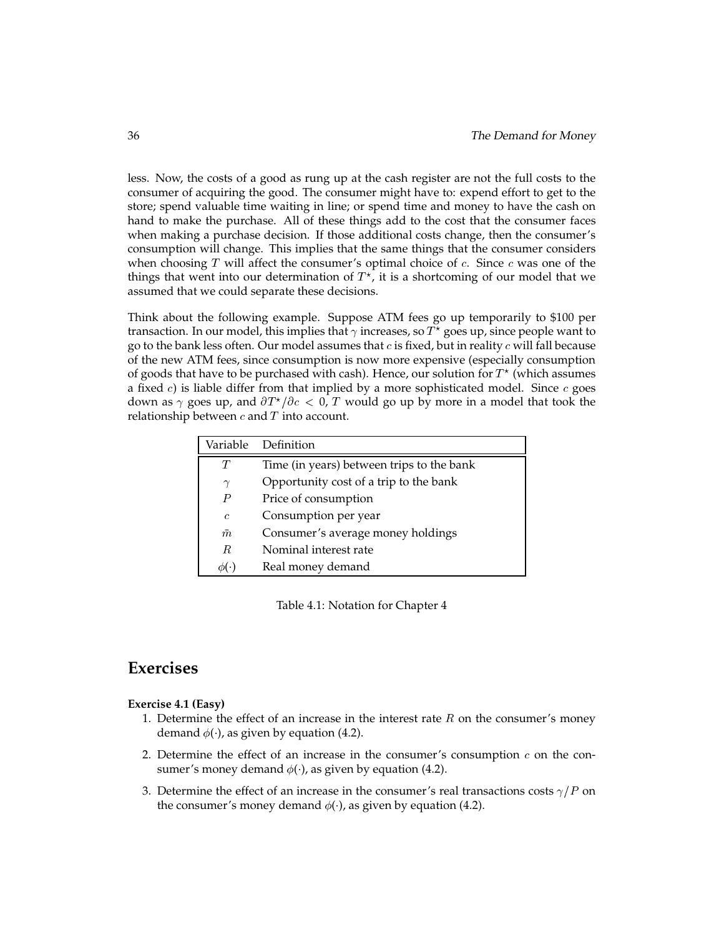less. Now, the costs of a good as rung up at the cash register are not the full costs to the consumer of acquiring the good. The consumer might have to: expend effort to get to the store; spend valuable time waiting in line; or spend time and money to have the cash on hand to make the purchase. All of these things add to the cost that the consumer faces when making a purchase decision. If those additional costs change, then the consumer's consumption will change. This implies that the same things that the consumer considers when choosing  $T$  will affect the consumer's optimal choice of  $c$ . Since  $c$  was one of the things that went into our determination of  $T^{\star}$ , it is a shortcoming of our model that we assumed that we could separate these decisions.

Think about the following example. Suppose ATM fees go up temporarily to \$100 per transaction. In our model, this implies that  $\gamma$  increases, so  $T^{\star}$  goes up, since people want to go to the bank less often. Our model assumes that  $c$  is fixed, but in reality  $c$  will fall because of the new ATM fees, since consumption is now more expensive (especially consumption of goods that have to be purchased with cash). Hence, our solution for  $T^{\star}$  (which assumes a fixed c) is liable differ from that implied by a more sophisticated model. Since  $c$  goes down as  $\gamma$  goes up, and  $\frac{\partial T^{\star}}{\partial c} < 0$ , T would go up by more in a model that took the relationship between  $c$  and  $T$  into account.

| Variable   | Definition                                |
|------------|-------------------------------------------|
| T          | Time (in years) between trips to the bank |
| $\gamma$   | Opportunity cost of a trip to the bank    |
| P          | Price of consumption                      |
| $\epsilon$ | Consumption per year                      |
| $\bar{m}$  | Consumer's average money holdings         |
| R          | Nominal interest rate                     |
|            | Real money demand                         |

Table 4.1: Notation for Chapter 4

## **Exercises**

#### **Exercise 4.1 (Easy)**

- 1. Determine the effect of an increase in the interest rate  $R$  on the consumer's money demand  $\phi($  ), as given by equation (4.2).
- 2. Determine the effect of an increase in the consumer's consumption  $c$  on the consumer's money demand  $\phi($ ), as given by equation (4.2).
- 3. Determine the effect of an increase in the consumer's real transactions costs  $\gamma/P$  on the consumer's money demand  $\phi(\cdot)$ , as given by equation (4.2).